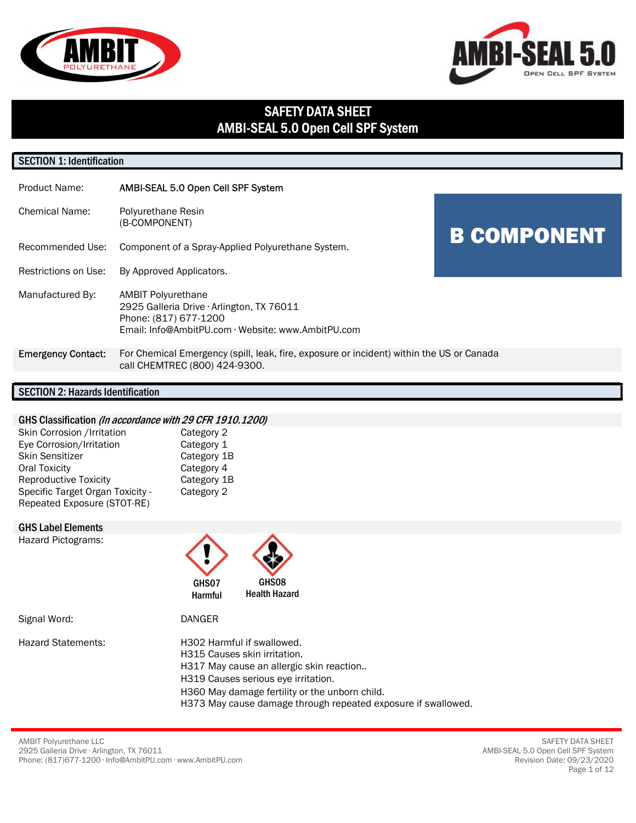



# SAFETY DATA SHEET AMBI-SEAL 5.0 Open Cell SPF System

## SECTION 1: Identification

| Product Name:             | AMBI-SEAL 5.0 Open Cell SPF System                                                                                                                    |                    |
|---------------------------|-------------------------------------------------------------------------------------------------------------------------------------------------------|--------------------|
| <b>Chemical Name:</b>     | Polyurethane Resin<br>(B-COMPONENT)                                                                                                                   |                    |
| Recommended Use:          | Component of a Spray-Applied Polyurethane System.                                                                                                     | <b>B COMPONENT</b> |
| Restrictions on Use:      | By Approved Applicators.                                                                                                                              |                    |
| Manufactured By:          | <b>AMBIT Polyurethane</b><br>2925 Galleria Drive · Arlington, TX 76011<br>Phone: (817) 677-1200<br>Email: Info@AmbitPU.com · Website: www.AmbitPU.com |                    |
| <b>Emergency Contact:</b> | For Chemical Emergency (spill, leak, fire, exposure or incident) within the US or Canada<br>call CHEMTREC (800) 424-9300.                             |                    |

#### SECTION 2: Hazards Identification

#### GHS Classification (In accordance with 29 CFR 1910.1200)

| Skin Corrosion / Irritation      | Category 2  |
|----------------------------------|-------------|
| Eye Corrosion/Irritation         | Category 1  |
| <b>Skin Sensitizer</b>           | Category 1B |
| <b>Oral Toxicity</b>             | Category 4  |
| <b>Reproductive Toxicity</b>     | Category 1B |
| Specific Target Organ Toxicity - | Category 2  |
| Repeated Exposure (STOT-RE)      |             |

#### GHS Label Elements

Hazard Pictograms:



Signal Word: DANGER

Hazard Statements: H302 Harmful if swallowed. H315 Causes skin irritation. H317 May cause an allergic skin reaction.. H319 Causes serious eye irritation. H360 May damage fertility or the unborn child. H373 May cause damage through repeated exposure if swallowed.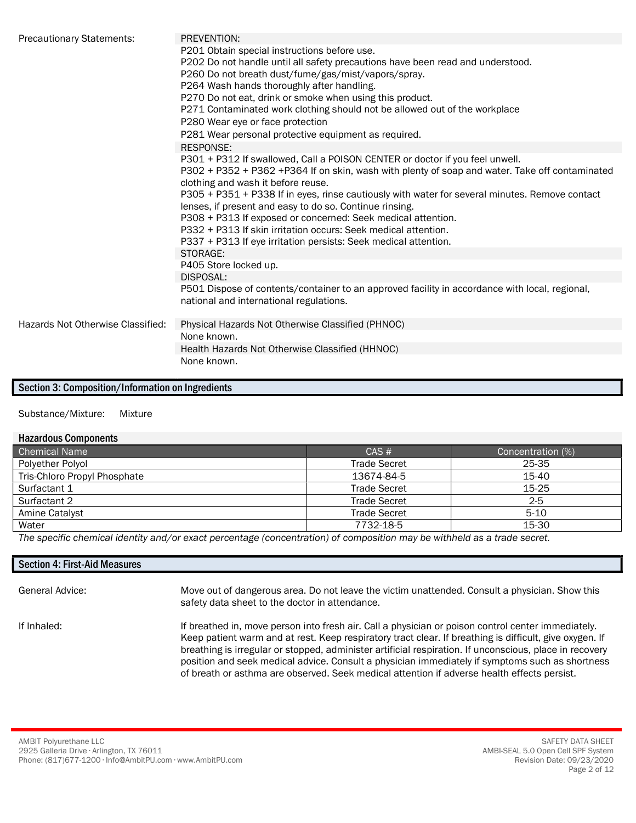| <b>Precautionary Statements:</b>  | PREVENTION:                                                                                    |
|-----------------------------------|------------------------------------------------------------------------------------------------|
|                                   | P201 Obtain special instructions before use.                                                   |
|                                   | P202 Do not handle until all safety precautions have been read and understood.                 |
|                                   | P260 Do not breath dust/fume/gas/mist/vapors/spray.                                            |
|                                   | P264 Wash hands thoroughly after handling.                                                     |
|                                   | P270 Do not eat, drink or smoke when using this product.                                       |
|                                   | P271 Contaminated work clothing should not be allowed out of the workplace                     |
|                                   | P280 Wear eye or face protection                                                               |
|                                   | P281 Wear personal protective equipment as required.                                           |
|                                   | <b>RESPONSE:</b>                                                                               |
|                                   | P301 + P312 If swallowed, Call a POISON CENTER or doctor if you feel unwell.                   |
|                                   | P302 + P352 + P362 +P364 If on skin, wash with plenty of soap and water. Take off contaminated |
|                                   | clothing and wash it before reuse.                                                             |
|                                   | P305 + P351 + P338 If in eyes, rinse cautiously with water for several minutes. Remove contact |
|                                   | lenses, if present and easy to do so. Continue rinsing.                                        |
|                                   | P308 + P313 If exposed or concerned: Seek medical attention.                                   |
|                                   | P332 + P313 If skin irritation occurs: Seek medical attention.                                 |
|                                   | P337 + P313 If eye irritation persists: Seek medical attention.                                |
|                                   | STORAGE:                                                                                       |
|                                   | P405 Store locked up.                                                                          |
|                                   | DISPOSAL:                                                                                      |
|                                   | P501 Dispose of contents/container to an approved facility in accordance with local, regional, |
|                                   | national and international regulations.                                                        |
|                                   | Physical Hazards Not Otherwise Classified (PHNOC)                                              |
| Hazards Not Otherwise Classified: | None known.                                                                                    |
|                                   |                                                                                                |
|                                   | Health Hazards Not Otherwise Classified (HHNOC)<br>None known.                                 |
|                                   |                                                                                                |

#### Section 3: Composition/Information on Ingredients

#### Substance/Mixture: Mixture

#### Hazardous Components

| Chemical Name                                                                                                                                                                                                                     | CAS#                | Concentration (%) |  |  |
|-----------------------------------------------------------------------------------------------------------------------------------------------------------------------------------------------------------------------------------|---------------------|-------------------|--|--|
| Polyether Polyol                                                                                                                                                                                                                  | <b>Trade Secret</b> | 25-35             |  |  |
| Tris-Chloro Propyl Phosphate                                                                                                                                                                                                      | 13674-84-5          | 15-40             |  |  |
| Surfactant 1                                                                                                                                                                                                                      | <b>Trade Secret</b> | $15-25$           |  |  |
| Surfactant 2                                                                                                                                                                                                                      | <b>Trade Secret</b> | $2 - 5$           |  |  |
| Amine Catalyst                                                                                                                                                                                                                    | <b>Trade Secret</b> | $5-10$            |  |  |
| Water                                                                                                                                                                                                                             | 7732-18-5           | 15-30             |  |  |
| $\bm{\tau}$ because the contract through the contract of the contract of the second of the contract of the contract of the contract of the contract of the contract of the contract of the contract of the contract of the contra |                     |                   |  |  |

The specific chemical identity and/or exact percentage (concentration) of composition may be withheld as a trade secret.

# Section 4: First-Aid Measures General Advice: Move out of dangerous area. Do not leave the victim unattended. Consult a physician. Show this

safety data sheet to the doctor in attendance.

If Inhaled: If breathed in, move person into fresh air. Call a physician or poison control center immediately. Keep patient warm and at rest. Keep respiratory tract clear. If breathing is difficult, give oxygen. If breathing is irregular or stopped, administer artificial respiration. If unconscious, place in recovery position and seek medical advice. Consult a physician immediately if symptoms such as shortness of breath or asthma are observed. Seek medical attention if adverse health effects persist.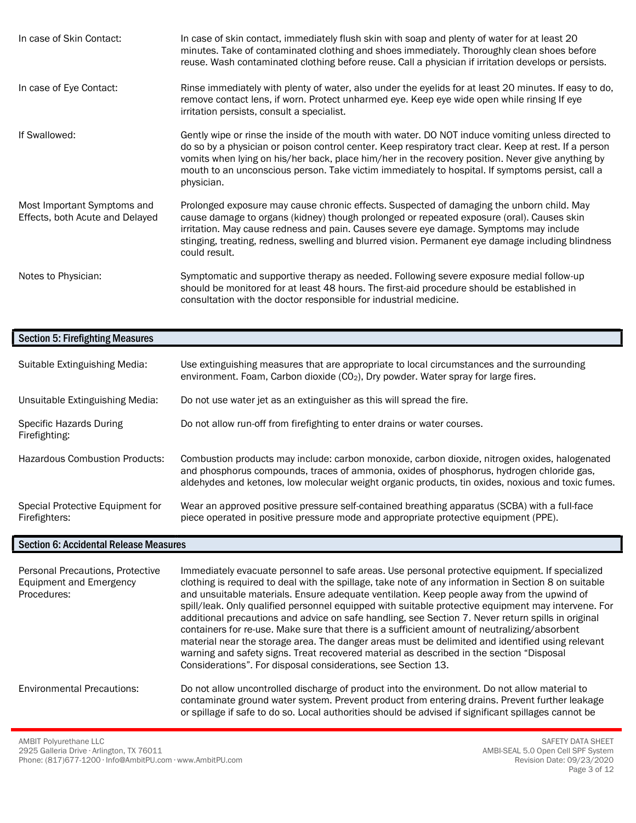| In case of Skin Contact:                                       | In case of skin contact, immediately flush skin with soap and plenty of water for at least 20<br>minutes. Take of contaminated clothing and shoes immediately. Thoroughly clean shoes before<br>reuse. Wash contaminated clothing before reuse. Call a physician if irritation develops or persists.                                                                                                                                |
|----------------------------------------------------------------|-------------------------------------------------------------------------------------------------------------------------------------------------------------------------------------------------------------------------------------------------------------------------------------------------------------------------------------------------------------------------------------------------------------------------------------|
| In case of Eye Contact:                                        | Rinse immediately with plenty of water, also under the eyelids for at least 20 minutes. If easy to do,<br>remove contact lens, if worn. Protect unharmed eye. Keep eye wide open while rinsing If eye<br>irritation persists, consult a specialist.                                                                                                                                                                                 |
| If Swallowed:                                                  | Gently wipe or rinse the inside of the mouth with water. DO NOT induce vomiting unless directed to<br>do so by a physician or poison control center. Keep respiratory tract clear. Keep at rest. If a person<br>vomits when lying on his/her back, place him/her in the recovery position. Never give anything by<br>mouth to an unconscious person. Take victim immediately to hospital. If symptoms persist, call a<br>physician. |
| Most Important Symptoms and<br>Effects, both Acute and Delayed | Prolonged exposure may cause chronic effects. Suspected of damaging the unborn child. May<br>cause damage to organs (kidney) though prolonged or repeated exposure (oral). Causes skin<br>irritation. May cause redness and pain. Causes severe eye damage. Symptoms may include<br>stinging, treating, redness, swelling and blurred vision. Permanent eye damage including blindness<br>could result.                             |
| Notes to Physician:                                            | Symptomatic and supportive therapy as needed. Following severe exposure medial follow-up<br>should be monitored for at least 48 hours. The first-aid procedure should be established in<br>consultation with the doctor responsible for industrial medicine.                                                                                                                                                                        |

## Section 5: Firefighting Measures

| Suitable Extinguishing Media:                     | Use extinguishing measures that are appropriate to local circumstances and the surrounding<br>environment. Foam, Carbon dioxide ( $CO2$ ), Dry powder. Water spray for large fires.                                                                                                               |
|---------------------------------------------------|---------------------------------------------------------------------------------------------------------------------------------------------------------------------------------------------------------------------------------------------------------------------------------------------------|
| Unsuitable Extinguishing Media:                   | Do not use water jet as an extinguisher as this will spread the fire.                                                                                                                                                                                                                             |
| Specific Hazards During<br>Firefighting:          | Do not allow run-off from firefighting to enter drains or water courses.                                                                                                                                                                                                                          |
| <b>Hazardous Combustion Products:</b>             | Combustion products may include: carbon monoxide, carbon dioxide, nitrogen oxides, halogenated<br>and phosphorus compounds, traces of ammonia, oxides of phosphorus, hydrogen chloride gas,<br>aldehydes and ketones, low molecular weight organic products, tin oxides, noxious and toxic fumes. |
| Special Protective Equipment for<br>Firefighters: | Wear an approved positive pressure self-contained breathing apparatus (SCBA) with a full-face<br>piece operated in positive pressure mode and appropriate protective equipment (PPE).                                                                                                             |

### Section 6: Accidental Release Measures

| Personal Precautions, Protective<br>Equipment and Emergency<br>Procedures: | Immediately evacuate personnel to safe areas. Use personal protective equipment. If specialized<br>clothing is required to deal with the spillage, take note of any information in Section 8 on suitable<br>and unsuitable materials. Ensure adequate ventilation. Keep people away from the upwind of<br>spill/leak. Only qualified personnel equipped with suitable protective equipment may intervene. For<br>additional precautions and advice on safe handling, see Section 7. Never return spills in original<br>containers for re-use. Make sure that there is a sufficient amount of neutralizing/absorbent<br>material near the storage area. The danger areas must be delimited and identified using relevant<br>warning and safety signs. Treat recovered material as described in the section "Disposal<br>Considerations". For disposal considerations, see Section 13. |
|----------------------------------------------------------------------------|--------------------------------------------------------------------------------------------------------------------------------------------------------------------------------------------------------------------------------------------------------------------------------------------------------------------------------------------------------------------------------------------------------------------------------------------------------------------------------------------------------------------------------------------------------------------------------------------------------------------------------------------------------------------------------------------------------------------------------------------------------------------------------------------------------------------------------------------------------------------------------------|
| <b>Environmental Precautions:</b>                                          | Do not allow uncontrolled discharge of product into the environment. Do not allow material to<br>contaminate ground water system. Prevent product from entering drains. Prevent further leakage<br>or spillage if safe to do so. Local authorities should be advised if significant spillages cannot be                                                                                                                                                                                                                                                                                                                                                                                                                                                                                                                                                                              |

AMBIT Polyurethane LLC 2925 Galleria Drive ∙ Arlington, TX 76011 Phone: (817)677-1200 ∙ Info@AmbitPU.com ∙ www.AmbitPU.com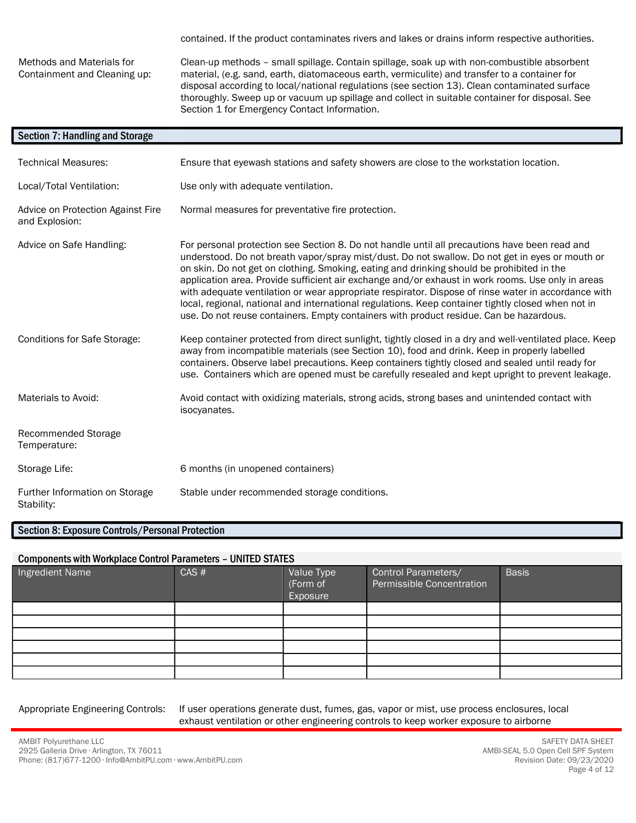contained. If the product contaminates rivers and lakes or drains inform respective authorities.

Methods and Materials for Containment and Cleaning up: Clean-up methods – small spillage. Contain spillage, soak up with non-combustible absorbent material, (e.g. sand, earth, diatomaceous earth, vermiculite) and transfer to a container for disposal according to local/national regulations (see section 13). Clean contaminated surface thoroughly. Sweep up or vacuum up spillage and collect in suitable container for disposal. See Section 1 for Emergency Contact Information.

| <b>Section 7: Handling and Storage</b>              |                                                                                                                                                                                                                                                                                                                                                                                                                                                                                                                                                                                                                                                                                                           |
|-----------------------------------------------------|-----------------------------------------------------------------------------------------------------------------------------------------------------------------------------------------------------------------------------------------------------------------------------------------------------------------------------------------------------------------------------------------------------------------------------------------------------------------------------------------------------------------------------------------------------------------------------------------------------------------------------------------------------------------------------------------------------------|
| <b>Technical Measures:</b>                          | Ensure that eyewash stations and safety showers are close to the workstation location.                                                                                                                                                                                                                                                                                                                                                                                                                                                                                                                                                                                                                    |
| Local/Total Ventilation:                            | Use only with adequate ventilation.                                                                                                                                                                                                                                                                                                                                                                                                                                                                                                                                                                                                                                                                       |
| Advice on Protection Against Fire<br>and Explosion: | Normal measures for preventative fire protection.                                                                                                                                                                                                                                                                                                                                                                                                                                                                                                                                                                                                                                                         |
| Advice on Safe Handling:                            | For personal protection see Section 8. Do not handle until all precautions have been read and<br>understood. Do not breath vapor/spray mist/dust. Do not swallow. Do not get in eyes or mouth or<br>on skin. Do not get on clothing. Smoking, eating and drinking should be prohibited in the<br>application area. Provide sufficient air exchange and/or exhaust in work rooms. Use only in areas<br>with adequate ventilation or wear appropriate respirator. Dispose of rinse water in accordance with<br>local, regional, national and international regulations. Keep container tightly closed when not in<br>use. Do not reuse containers. Empty containers with product residue. Can be hazardous. |
| <b>Conditions for Safe Storage:</b>                 | Keep container protected from direct sunlight, tightly closed in a dry and well-ventilated place. Keep<br>away from incompatible materials (see Section 10), food and drink. Keep in properly labelled<br>containers. Observe label precautions. Keep containers tightly closed and sealed until ready for<br>use. Containers which are opened must be carefully resealed and kept upright to prevent leakage.                                                                                                                                                                                                                                                                                            |
| Materials to Avoid:                                 | Avoid contact with oxidizing materials, strong acids, strong bases and unintended contact with<br>isocyanates.                                                                                                                                                                                                                                                                                                                                                                                                                                                                                                                                                                                            |
| Recommended Storage<br>Temperature:                 |                                                                                                                                                                                                                                                                                                                                                                                                                                                                                                                                                                                                                                                                                                           |
| Storage Life:                                       | 6 months (in unopened containers)                                                                                                                                                                                                                                                                                                                                                                                                                                                                                                                                                                                                                                                                         |
| Further Information on Storage<br>Stability:        | Stable under recommended storage conditions.                                                                                                                                                                                                                                                                                                                                                                                                                                                                                                                                                                                                                                                              |

### Section 8: Exposure Controls/Personal Protection

#### Components with Workplace Control Parameters – UNITED STATES

| Ingredient Name | CAS # | Value Type<br>(Form of<br>Exposure | Control Parameters/<br>Permissible Concentration | <b>Basis</b> |
|-----------------|-------|------------------------------------|--------------------------------------------------|--------------|
|                 |       |                                    |                                                  |              |
|                 |       |                                    |                                                  |              |
|                 |       |                                    |                                                  |              |
|                 |       |                                    |                                                  |              |
|                 |       |                                    |                                                  |              |
|                 |       |                                    |                                                  |              |

Appropriate Engineering Controls: If user operations generate dust, fumes, gas, vapor or mist, use process enclosures, local exhaust ventilation or other engineering controls to keep worker exposure to airborne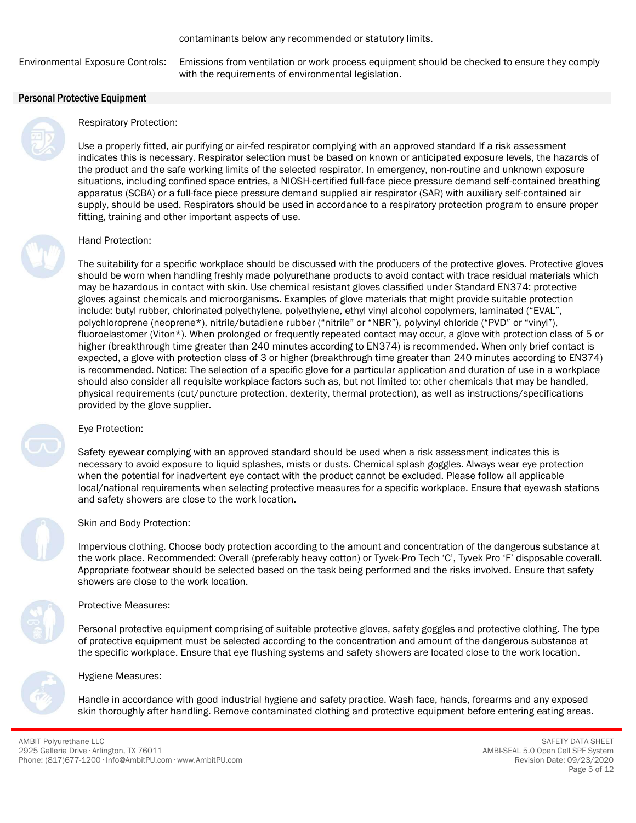Environmental Exposure Controls: Emissions from ventilation or work process equipment should be checked to ensure they comply with the requirements of environmental legislation.

#### Personal Protective Equipment



## Respiratory Protection:

Use a properly fitted, air purifying or air-fed respirator complying with an approved standard If a risk assessment indicates this is necessary. Respirator selection must be based on known or anticipated exposure levels, the hazards of the product and the safe working limits of the selected respirator. In emergency, non-routine and unknown exposure situations, including confined space entries, a NIOSH-certified full-face piece pressure demand self-contained breathing apparatus (SCBA) or a full-face piece pressure demand supplied air respirator (SAR) with auxiliary self-contained air supply, should be used. Respirators should be used in accordance to a respiratory protection program to ensure proper fitting, training and other important aspects of use.



#### Hand Protection:

The suitability for a specific workplace should be discussed with the producers of the protective gloves. Protective gloves should be worn when handling freshly made polyurethane products to avoid contact with trace residual materials which may be hazardous in contact with skin. Use chemical resistant gloves classified under Standard EN374: protective gloves against chemicals and microorganisms. Examples of glove materials that might provide suitable protection include: butyl rubber, chlorinated polyethylene, polyethylene, ethyl vinyl alcohol copolymers, laminated ("EVAL", polychloroprene (neoprene\*), nitrile/butadiene rubber ("nitrile" or "NBR"), polyvinyl chloride ("PVD" or "vinyl"), fluoroelastomer (Viton\*). When prolonged or frequently repeated contact may occur, a glove with protection class of 5 or higher (breakthrough time greater than 240 minutes according to EN374) is recommended. When only brief contact is expected, a glove with protection class of 3 or higher (breakthrough time greater than 240 minutes according to EN374) is recommended. Notice: The selection of a specific glove for a particular application and duration of use in a workplace should also consider all requisite workplace factors such as, but not limited to: other chemicals that may be handled, physical requirements (cut/puncture protection, dexterity, thermal protection), as well as instructions/specifications provided by the glove supplier.

#### Eye Protection:

Safety eyewear complying with an approved standard should be used when a risk assessment indicates this is necessary to avoid exposure to liquid splashes, mists or dusts. Chemical splash goggles. Always wear eye protection when the potential for inadvertent eye contact with the product cannot be excluded. Please follow all applicable local/national requirements when selecting protective measures for a specific workplace. Ensure that eyewash stations and safety showers are close to the work location.

#### Skin and Body Protection:

Impervious clothing. Choose body protection according to the amount and concentration of the dangerous substance at the work place. Recommended: Overall (preferably heavy cotton) or Tyvek-Pro Tech 'C', Tyvek Pro 'F' disposable coverall. Appropriate footwear should be selected based on the task being performed and the risks involved. Ensure that safety showers are close to the work location.



#### Protective Measures:

Personal protective equipment comprising of suitable protective gloves, safety goggles and protective clothing. The type of protective equipment must be selected according to the concentration and amount of the dangerous substance at the specific workplace. Ensure that eye flushing systems and safety showers are located close to the work location.

#### Hygiene Measures:

Handle in accordance with good industrial hygiene and safety practice. Wash face, hands, forearms and any exposed skin thoroughly after handling. Remove contaminated clothing and protective equipment before entering eating areas.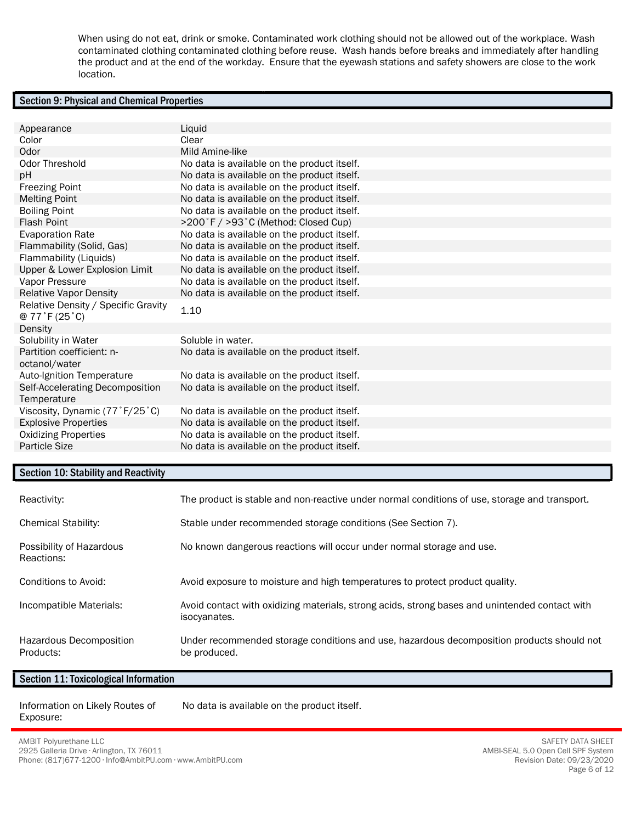When using do not eat, drink or smoke. Contaminated work clothing should not be allowed out of the workplace. Wash contaminated clothing contaminated clothing before reuse. Wash hands before breaks and immediately after handling the product and at the end of the workday. Ensure that the eyewash stations and safety showers are close to the work location.

### Section 9: Physical and Chemical Properties

| Appearance                                                      | Liquid                                      |
|-----------------------------------------------------------------|---------------------------------------------|
| Color                                                           | Clear                                       |
| Odor                                                            | Mild Amine-like                             |
| Odor Threshold                                                  | No data is available on the product itself. |
| pH                                                              | No data is available on the product itself. |
| <b>Freezing Point</b>                                           | No data is available on the product itself. |
| <b>Melting Point</b>                                            | No data is available on the product itself. |
| <b>Boiling Point</b>                                            | No data is available on the product itself. |
| <b>Flash Point</b>                                              | >200°F / >93°C (Method: Closed Cup)         |
| <b>Evaporation Rate</b>                                         | No data is available on the product itself. |
| Flammability (Solid, Gas)                                       | No data is available on the product itself. |
| Flammability (Liquids)                                          | No data is available on the product itself. |
| Upper & Lower Explosion Limit                                   | No data is available on the product itself. |
| Vapor Pressure                                                  | No data is available on the product itself. |
| <b>Relative Vapor Density</b>                                   | No data is available on the product itself. |
| Relative Density / Specific Gravity<br>$@ 77$ $F(25 \degree C)$ | 1.10                                        |
| Density                                                         |                                             |
| Solubility in Water                                             | Soluble in water.                           |
| Partition coefficient: n-<br>octanol/water                      | No data is available on the product itself. |
| Auto-Ignition Temperature                                       | No data is available on the product itself. |
| Self-Accelerating Decomposition<br>Temperature                  | No data is available on the product itself. |
| Viscosity, Dynamic (77°F/25°C)                                  | No data is available on the product itself. |
| <b>Explosive Properties</b>                                     | No data is available on the product itself. |
| <b>Oxidizing Properties</b>                                     | No data is available on the product itself. |
| Particle Size                                                   | No data is available on the product itself. |
|                                                                 |                                             |

## Section 10: Stability and Reactivity

| Reactivity:                            | The product is stable and non-reactive under normal conditions of use, storage and transport.                  |
|----------------------------------------|----------------------------------------------------------------------------------------------------------------|
| <b>Chemical Stability:</b>             | Stable under recommended storage conditions (See Section 7).                                                   |
| Possibility of Hazardous<br>Reactions: | No known dangerous reactions will occur under normal storage and use.                                          |
| Conditions to Avoid:                   | Avoid exposure to moisture and high temperatures to protect product quality.                                   |
| Incompatible Materials:                | Avoid contact with oxidizing materials, strong acids, strong bases and unintended contact with<br>isocyanates. |
| Hazardous Decomposition<br>Products:   | Under recommended storage conditions and use, hazardous decomposition products should not<br>be produced.      |

#### Section 11: Toxicological Information

Information on Likely Routes of Exposure:

No data is available on the product itself.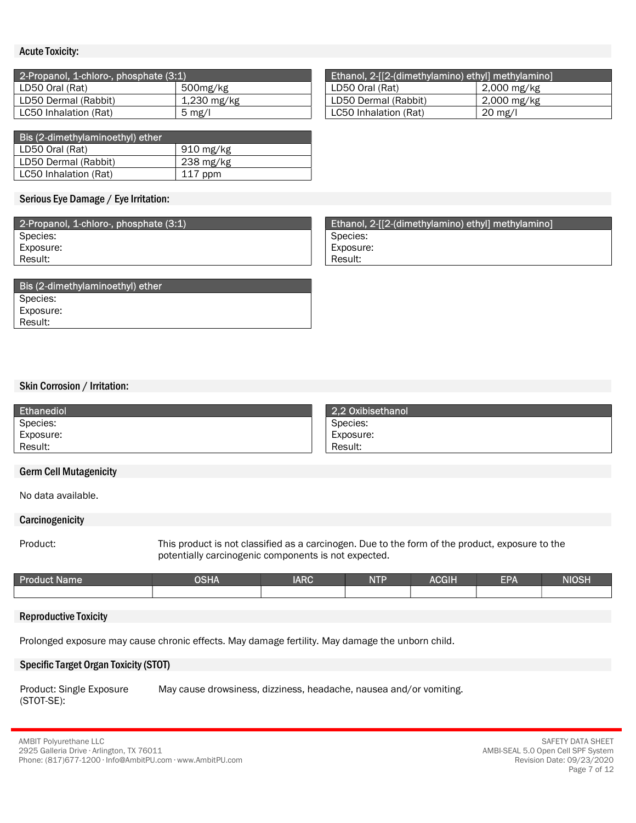#### Acute Toxicity:

| 2-Propanol, 1-chloro-, phosphate (3:1) |                  | Ethanol, 2-[[2-(dimethylamino) ethyl] methylamino] |             |
|----------------------------------------|------------------|----------------------------------------------------|-------------|
| LD50 Oral (Rat)                        | 500mg/kg         | LD50 Oral (Rat)                                    | 2,000 mg/kg |
| LD50 Dermal (Rabbit)                   | 1,230 mg/kg      | LD50 Dermal (Rabbit)                               | 2,000 mg/kg |
| LC50 Inhalation (Rat)                  | $5 \text{ mg/l}$ | LC50 Inhalation (Rat)                              | 20 mg/l     |

| Bis (2-dimethylaminoethyl) ether |                     |  |  |
|----------------------------------|---------------------|--|--|
| LD50 Oral (Rat)                  | , 910 mg/kg         |  |  |
| LD50 Dermal (Rabbit)             | $238 \text{ mg/kg}$ |  |  |
| LC50 Inhalation (Rat)            | $117$ ppm           |  |  |

#### Serious Eye Damage / Eye Irritation:

| 2-Propanol, 1-chloro-, phosphate (3:1) |
|----------------------------------------|
| Species:                               |
| Exposure:                              |
| Result:                                |

| Bis (2-dimethylaminoethyl) ether |
|----------------------------------|
| Species:                         |
| Exposure:                        |
| Result:                          |

#### Skin Corrosion / Irritation:

| Ethanediol | 2.2 Oxibisethanol |
|------------|-------------------|
| Species:   | Species:          |
| Exposure:  | Exposure:         |
| Result:    | Result:           |

#### Germ Cell Mutagenicity

No data available.

#### **Carcinogenicity**

Product: This product is not classified as a carcinogen. Due to the form of the product, exposure to the potentially carcinogenic components is not expected.

| _<br><b>Product</b><br><b>Name</b> | <b>PSHA</b> | <b>IARC</b> | <b>NTP</b><br>. | <b>ACGIH</b> | —— 1<br>ע | <b>NIOSH</b> |
|------------------------------------|-------------|-------------|-----------------|--------------|-----------|--------------|
|                                    |             |             |                 |              |           |              |

#### Reproductive Toxicity

Prolonged exposure may cause chronic effects. May damage fertility. May damage the unborn child.

#### Specific Target Organ Toxicity (STOT)

Product: Single Exposure (STOT-SE): May cause drowsiness, dizziness, headache, nausea and/or vomiting.

| Ethanol, 2-[[2-(dimethylamino) ethyl] methylamino] |                   |  |  |
|----------------------------------------------------|-------------------|--|--|
| LD50 Oral (Rat)                                    | 2,000 mg/kg       |  |  |
| LD50 Dermal (Rabbit)                               | 2,000 mg/kg       |  |  |
| LC50 Inhalation (Rat)                              | $20 \text{ mg/l}$ |  |  |

Ethanol, 2-[[2-(dimethylamino) ethyl] methylamino] Species:

Exposure:

Result: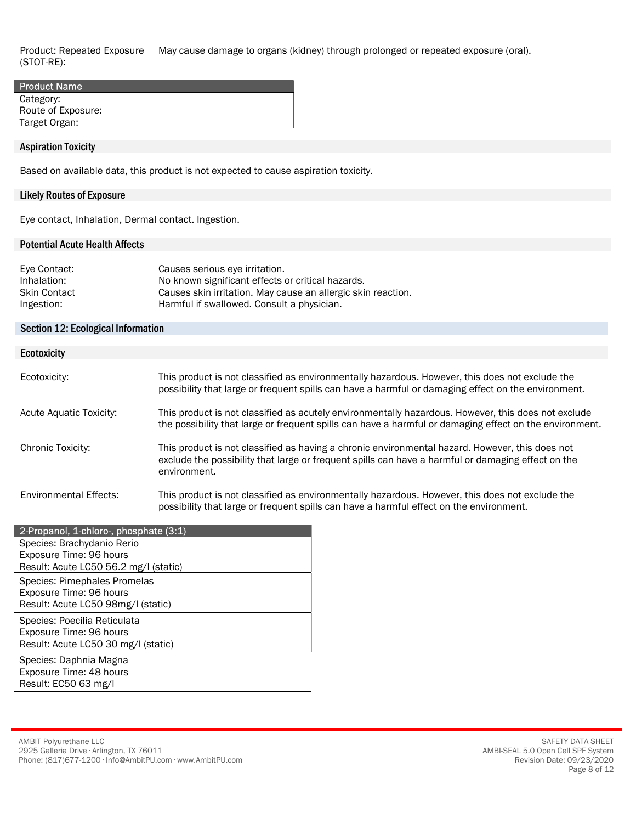Product: Repeated Exposure (STOT-RE): May cause damage to organs (kidney) through prolonged or repeated exposure (oral).

| <b>Product Name</b> |  |
|---------------------|--|
| Category:           |  |
| Route of Exposure:  |  |
| Target Organ:       |  |

#### Aspiration Toxicity

Based on available data, this product is not expected to cause aspiration toxicity.

#### Likely Routes of Exposure

Eye contact, Inhalation, Dermal contact. Ingestion.

#### Potential Acute Health Affects

| Eye Contact:        | Causes serious eye irritation.                               |
|---------------------|--------------------------------------------------------------|
| Inhalation:         | No known significant effects or critical hazards.            |
| <b>Skin Contact</b> | Causes skin irritation. May cause an allergic skin reaction. |
| Ingestion:          | Harmful if swallowed. Consult a physician.                   |

#### Section 12: Ecological Information

| <b>Ecotoxicity</b>             |                                                                                                                                                                                                                       |
|--------------------------------|-----------------------------------------------------------------------------------------------------------------------------------------------------------------------------------------------------------------------|
|                                |                                                                                                                                                                                                                       |
| Ecotoxicity:                   | This product is not classified as environmentally hazardous. However, this does not exclude the<br>possibility that large or frequent spills can have a harmful or damaging effect on the environment.                |
| <b>Acute Aquatic Toxicity:</b> | This product is not classified as acutely environmentally hazardous. However, this does not exclude<br>the possibility that large or frequent spills can have a harmful or damaging effect on the environment.        |
| Chronic Toxicity:              | This product is not classified as having a chronic environmental hazard. However, this does not<br>exclude the possibility that large or frequent spills can have a harmful or damaging effect on the<br>environment. |
| Environmental Effects:         | This product is not classified as environmentally hazardous. However, this does not exclude the<br>possibility that large or frequent spills can have a harmful effect on the environment.                            |

| 2-Propanol, 1-chloro-, phosphate (3:1) |
|----------------------------------------|
| Species: Brachydanio Rerio             |
| Exposure Time: 96 hours                |
| Result: Acute LC50 56.2 mg/l (static)  |
| Species: Pimephales Promelas           |
| Exposure Time: 96 hours                |
| Result: Acute LC50 98mg/I (static)     |
| Species: Poecilia Reticulata           |
| Exposure Time: 96 hours                |
| Result: Acute LC50 30 mg/l (static)    |
| Species: Daphnia Magna                 |
| Exposure Time: 48 hours                |
| Result: EC50 63 mg/l                   |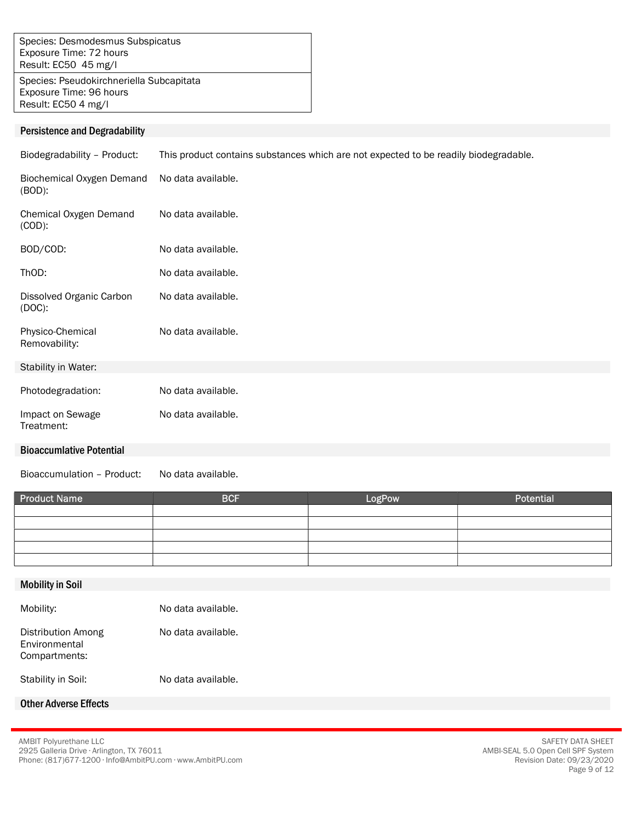Species: Desmodesmus Subspicatus Exposure Time: 72 hours Result: EC50 45 mg/l

Species: Pseudokirchneriella Subcapitata Exposure Time: 96 hours Result: EC50 4 mg/l

#### Persistence and Degradability

Biodegradability – Product: This product contains substances which are not expected to be readily biodegradable.

| Biochemical Oxygen Demand<br>(BOD):   | No data available. |
|---------------------------------------|--------------------|
| Chemical Oxygen Demand<br>$(COD)$ :   | No data available. |
| BOD/COD:                              | No data available. |
| ThOD:                                 | No data available. |
| Dissolved Organic Carbon<br>$(DOC)$ : | No data available. |
| Physico-Chemical<br>Removability:     | No data available. |
| Stability in Water:                   |                    |
| Photodegradation:                     | No data available. |

## Bioaccumlative Potential

Impact on Sewage Treatment:

Bioaccumulation – Product: No data available.

No data available.

| <b>Product Name</b> | <b>BCF</b> | LogPow | Potential |
|---------------------|------------|--------|-----------|
|                     |            |        |           |
|                     |            |        |           |
|                     |            |        |           |
|                     |            |        |           |
|                     |            |        |           |

#### Mobility in Soil

| Mobility:                                            | No data available. |
|------------------------------------------------------|--------------------|
| Distribution Among<br>Environmental<br>Compartments: | No data available. |
| Stability in Soil:                                   | No data available. |

## Other Adverse Effects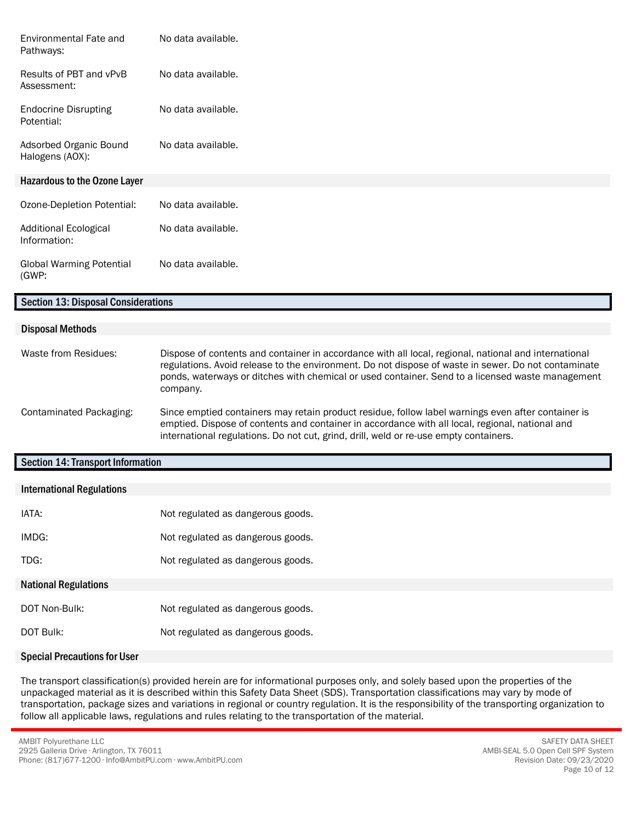| Environmental Fate and<br>Pathways:          | No data available. |
|----------------------------------------------|--------------------|
| Results of PBT and vPvB<br>Assessment:       | No data available. |
| <b>Endocrine Disrupting</b><br>Potential:    | No data available. |
| Adsorbed Organic Bound<br>Halogens (AOX):    | No data available. |
| <b>Hazardous to the Ozone Layer</b>          |                    |
| Ozone-Depletion Potential:                   | No data available. |
| <b>Additional Ecological</b><br>Information: | No data available. |
| <b>Global Warming Potential</b><br>(GWP:     | No data available. |
| <b>Section 13: Disposal Considerations</b>   |                    |

#### Disposal Methods

| Waste from Residues:    | Dispose of contents and container in accordance with all local, regional, national and international<br>regulations. Avoid release to the environment. Do not dispose of waste in sewer. Do not contaminate<br>ponds, waterways or ditches with chemical or used container. Send to a licensed waste management<br>company. |
|-------------------------|-----------------------------------------------------------------------------------------------------------------------------------------------------------------------------------------------------------------------------------------------------------------------------------------------------------------------------|
| Contaminated Packaging: | Since emptied containers may retain product residue, follow label warnings even after container is<br>emptied. Dispose of contents and container in accordance with all local, regional, national and<br>international regulations. Do not cut, grind, drill, weld or re-use empty containers.                              |

## Section 14: Transport Information

| <b>International Regulations</b> |                                   |
|----------------------------------|-----------------------------------|
| IATA:                            | Not regulated as dangerous goods. |
| IMDG:                            | Not regulated as dangerous goods. |
| TDG:                             | Not regulated as dangerous goods. |
| <b>National Regulations</b>      |                                   |
| DOT Non-Bulk:                    | Not regulated as dangerous goods. |
| DOT Bulk:                        | Not regulated as dangerous goods. |

#### Special Precautions for User

The transport classification(s) provided herein are for informational purposes only, and solely based upon the properties of the unpackaged material as it is described within this Safety Data Sheet (SDS). Transportation classifications may vary by mode of transportation, package sizes and variations in regional or country regulation. It is the responsibility of the transporting organization to follow all applicable laws, regulations and rules relating to the transportation of the material.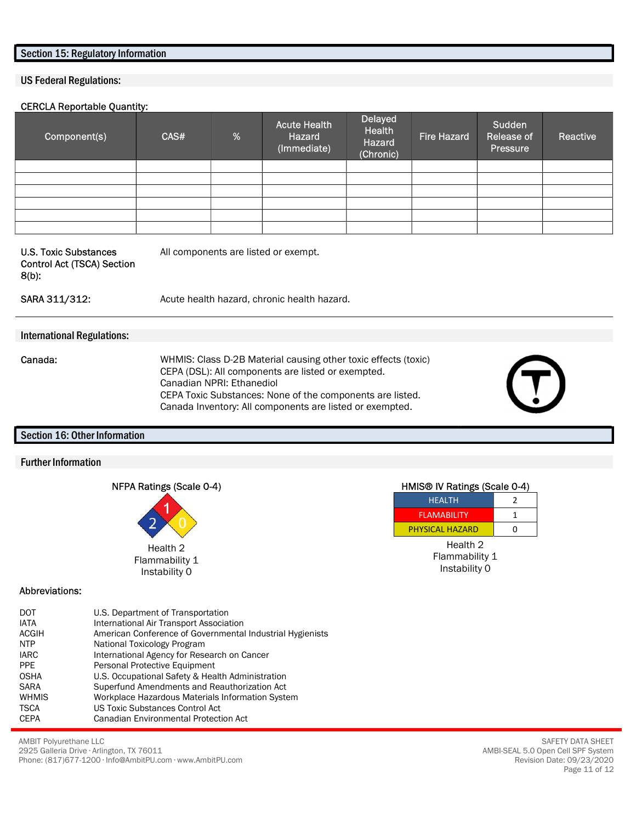#### Section 15: Regulatory Information

#### US Federal Regulations:

#### CERCLA Reportable Quantity:

| Component(s) | CAS# | $\%$ | <b>Acute Health</b><br>Hazard<br>(Immediate) | <b>Delayed</b><br>Health<br>Hazard<br>(Chronic) | Fire Hazard | Sudden<br>Release of<br>Pressure | Reactive |
|--------------|------|------|----------------------------------------------|-------------------------------------------------|-------------|----------------------------------|----------|
|              |      |      |                                              |                                                 |             |                                  |          |
|              |      |      |                                              |                                                 |             |                                  |          |
|              |      |      |                                              |                                                 |             |                                  |          |
|              |      |      |                                              |                                                 |             |                                  |          |
|              |      |      |                                              |                                                 |             |                                  |          |
|              |      |      |                                              |                                                 |             |                                  |          |

U.S. Toxic Substances Control Act (TSCA) Section 8(b):

All components are listed or exempt.

#### SARA 311/312: Acute health hazard, chronic health hazard.

#### International Regulations:

- 
- Canada: WHMIS: Class D-2B Material causing other toxic effects (toxic) CEPA (DSL): All components are listed or exempted. Canadian NPRI: Ethanediol CEPA Toxic Substances: None of the components are listed. Canada Inventory: All components are listed or exempted.

#### Section 16: Other Information

#### Further Information

| NFPA Ratings (Scale 0-4) |  |
|--------------------------|--|
|                          |  |



#### Abbreviations:

| DOT          | U.S. Department of Transportation                         |
|--------------|-----------------------------------------------------------|
| <b>IATA</b>  | International Air Transport Association                   |
| <b>ACGIH</b> | American Conference of Governmental Industrial Hygienists |
| <b>NTP</b>   | National Toxicology Program                               |
| <b>IARC</b>  | International Agency for Research on Cancer               |
| <b>PPE</b>   | Personal Protective Equipment                             |
| <b>OSHA</b>  | U.S. Occupational Safety & Health Administration          |
| <b>SARA</b>  | Superfund Amendments and Reauthorization Act              |
| <b>WHMIS</b> | Workplace Hazardous Materials Information System          |
| <b>TSCA</b>  | <b>US Toxic Substances Control Act</b>                    |
| <b>CEPA</b>  | <b>Canadian Environmental Protection Act</b>              |

HMIS® IV Ratings (Scale 0-4) HEALTH 2

| <b>NEALIN</b>          |   |
|------------------------|---|
| <b>FI AMARILITY</b>    |   |
| <b>PHYSICAL HAZARD</b> | n |
|                        |   |

Health 2 Flammability 1 Instability 0

AMBIT Polyurethane LLC 2925 Galleria Drive ∙ Arlington, TX 76011 Phone: (817)677-1200 ∙ Info@AmbitPU.com ∙ www.AmbitPU.com

SAFETY DATA SHEET AMBI-SEAL 5.0 Open Cell SPF System Revision Date: 09/23/2020 Page 11 of 12